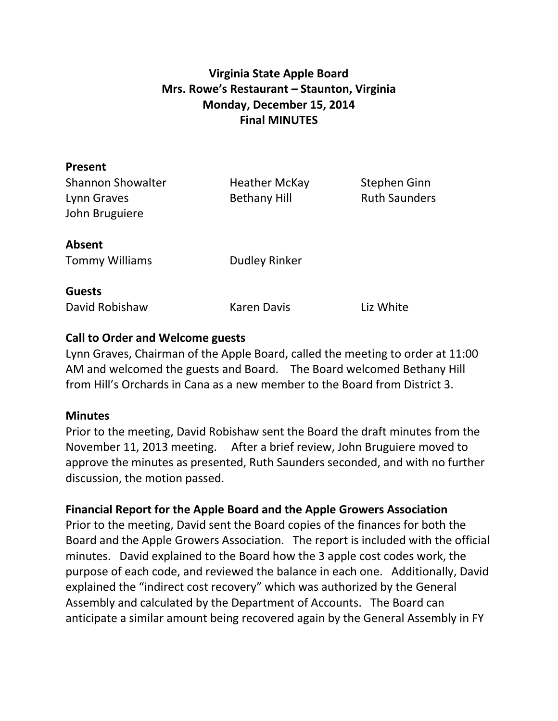# **Virginia State Apple Board Mrs. Rowe's Restaurant – Staunton, Virginia Monday, December 15, 2014 Final MINUTES**

| <b>Heather McKay</b> | Stephen Ginn                 |
|----------------------|------------------------------|
| <b>Bethany Hill</b>  | <b>Ruth Saunders</b>         |
|                      |                              |
|                      |                              |
|                      |                              |
|                      |                              |
|                      |                              |
|                      |                              |
|                      | Liz White                    |
|                      | Dudley Rinker<br>Karen Davis |

## **Call to Order and Welcome guests**

Lynn Graves, Chairman of the Apple Board, called the meeting to order at 11:00 AM and welcomed the guests and Board. The Board welcomed Bethany Hill from Hill's Orchards in Cana as a new member to the Board from District 3.

#### **Minutes**

Prior to the meeting, David Robishaw sent the Board the draft minutes from the November 11, 2013 meeting. After a brief review, John Bruguiere moved to approve the minutes as presented, Ruth Saunders seconded, and with no further discussion, the motion passed.

#### **Financial Report for the Apple Board and the Apple Growers Association**

Prior to the meeting, David sent the Board copies of the finances for both the Board and the Apple Growers Association. The report is included with the official minutes. David explained to the Board how the 3 apple cost codes work, the purpose of each code, and reviewed the balance in each one. Additionally, David explained the "indirect cost recovery" which was authorized by the General Assembly and calculated by the Department of Accounts. The Board can anticipate a similar amount being recovered again by the General Assembly in FY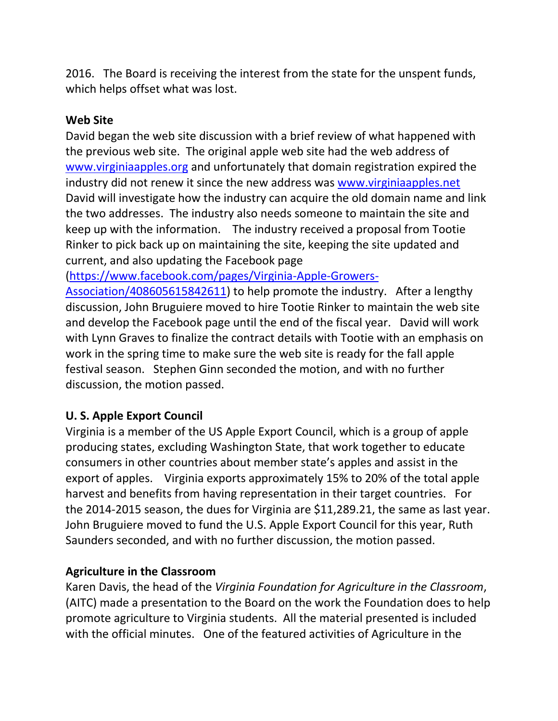2016. The Board is receiving the interest from the state for the unspent funds, which helps offset what was lost.

#### **Web Site**

David began the web site discussion with a brief review of what happened with the previous web site. The original apple web site had the web address of [www.virginiaapples.org](http://www.virginiaapples.org/) and unfortunately that domain registration expired the industry did not renew it since the new address was [www.virginiaapples.net](http://www.virginiaapples.net/)  David will investigate how the industry can acquire the old domain name and link the two addresses. The industry also needs someone to maintain the site and keep up with the information. The industry received a proposal from Tootie Rinker to pick back up on maintaining the site, keeping the site updated and current, and also updating the Facebook page

[\(https://www.facebook.com/pages/Virginia-Apple-Growers-](https://www.facebook.com/pages/Virginia-Apple-Growers-Association/408605615842611)

[Association/408605615842611\)](https://www.facebook.com/pages/Virginia-Apple-Growers-Association/408605615842611) to help promote the industry. After a lengthy discussion, John Bruguiere moved to hire Tootie Rinker to maintain the web site and develop the Facebook page until the end of the fiscal year. David will work with Lynn Graves to finalize the contract details with Tootie with an emphasis on work in the spring time to make sure the web site is ready for the fall apple festival season. Stephen Ginn seconded the motion, and with no further discussion, the motion passed.

## **U. S. Apple Export Council**

Virginia is a member of the US Apple Export Council, which is a group of apple producing states, excluding Washington State, that work together to educate consumers in other countries about member state's apples and assist in the export of apples. Virginia exports approximately 15% to 20% of the total apple harvest and benefits from having representation in their target countries. For the 2014-2015 season, the dues for Virginia are \$11,289.21, the same as last year. John Bruguiere moved to fund the U.S. Apple Export Council for this year, Ruth Saunders seconded, and with no further discussion, the motion passed.

## **Agriculture in the Classroom**

Karen Davis, the head of the *Virginia Foundation for Agriculture in the Classroom*, (AITC) made a presentation to the Board on the work the Foundation does to help promote agriculture to Virginia students. All the material presented is included with the official minutes. One of the featured activities of Agriculture in the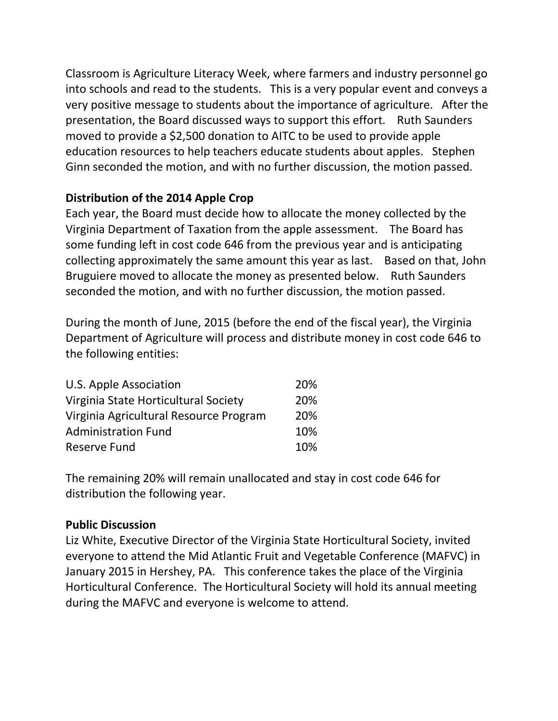Classroom is Agriculture Literacy Week, where farmers and industry personnel go into schools and read to the students. This is a very popular event and conveys a very positive message to students about the importance of agriculture. After the presentation, the Board discussed ways to support this effort. Ruth Saunders moved to provide a \$2,500 donation to AITC to be used to provide apple education resources to help teachers educate students about apples. Stephen Ginn seconded the motion, and with no further discussion, the motion passed.

#### **Distribution of the 2014 Apple Crop**

Each year, the Board must decide how to allocate the money collected by the Virginia Department of Taxation from the apple assessment. The Board has some funding left in cost code 646 from the previous year and is anticipating collecting approximately the same amount this year as last. Based on that, John Bruguiere moved to allocate the money as presented below. Ruth Saunders seconded the motion, and with no further discussion, the motion passed.

During the month of June, 2015 (before the end of the fiscal year), the Virginia Department of Agriculture will process and distribute money in cost code 646 to the following entities:

| <b>U.S. Apple Association</b>          | <b>20%</b> |
|----------------------------------------|------------|
| Virginia State Horticultural Society   | 20%        |
| Virginia Agricultural Resource Program | <b>20%</b> |
| <b>Administration Fund</b>             | 10%        |
| Reserve Fund                           | 10%        |

The remaining 20% will remain unallocated and stay in cost code 646 for distribution the following year.

#### **Public Discussion**

Liz White, Executive Director of the Virginia State Horticultural Society, invited everyone to attend the Mid Atlantic Fruit and Vegetable Conference (MAFVC) in January 2015 in Hershey, PA. This conference takes the place of the Virginia Horticultural Conference. The Horticultural Society will hold its annual meeting during the MAFVC and everyone is welcome to attend.